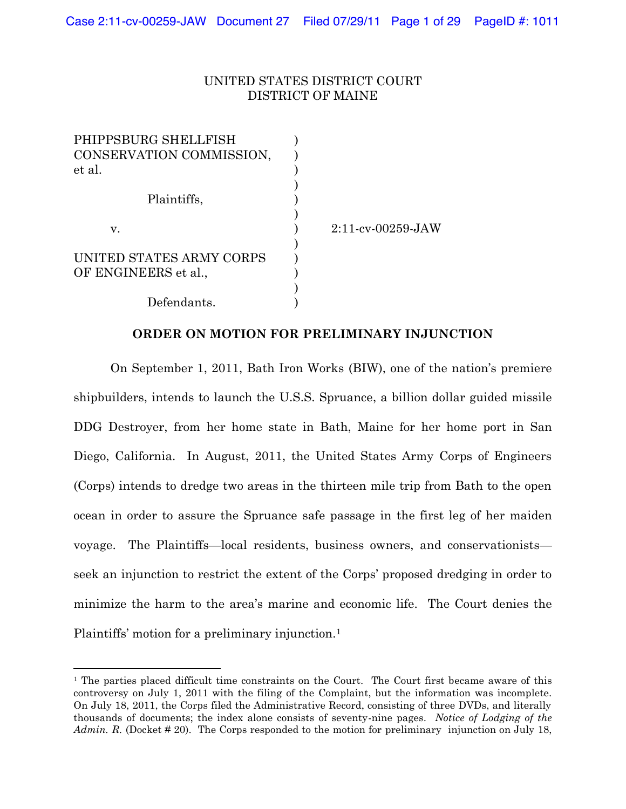### UNITED STATES DISTRICT COURT DISTRICT OF MAINE

| PHIPPSBURG SHELLFISH     |                      |
|--------------------------|----------------------|
| CONSERVATION COMMISSION, |                      |
| et al.                   |                      |
|                          |                      |
| Plaintiffs,              |                      |
|                          |                      |
| V.                       | $2:11$ -cv-00259-JAW |
|                          |                      |
| UNITED STATES ARMY CORPS |                      |
| OF ENGINEERS et al.,     |                      |
|                          |                      |
| Defendants.              |                      |

### **ORDER ON MOTION FOR PRELIMINARY INJUNCTION**

On September 1, 2011, Bath Iron Works (BIW), one of the nation's premiere shipbuilders, intends to launch the U.S.S. Spruance, a billion dollar guided missile DDG Destroyer, from her home state in Bath, Maine for her home port in San Diego, California. In August, 2011, the United States Army Corps of Engineers (Corps) intends to dredge two areas in the thirteen mile trip from Bath to the open ocean in order to assure the Spruance safe passage in the first leg of her maiden voyage. The Plaintiffs—local residents, business owners, and conservationists seek an injunction to restrict the extent of the Corps' proposed dredging in order to minimize the harm to the area's marine and economic life. The Court denies the Plaintiffs' motion for a preliminary injunction.<sup>1</sup>

!!!!!!!!!!!!!!!!!!!!!!!!!!!!!!!!!!!!!!!!!!!!!!!!!!!!!!!!!!

<sup>&</sup>lt;sup>1</sup> The parties placed difficult time constraints on the Court. The Court first became aware of this controversy on July 1, 2011 with the filing of the Complaint, but the information was incomplete. On July 18, 2011, the Corps filed the Administrative Record, consisting of three DVDs, and literally thousands of documents; the index alone consists of seventy-nine pages. *Notice of Lodging of the* Admin. R. (Docket # 20). The Corps responded to the motion for preliminary injunction on July 18,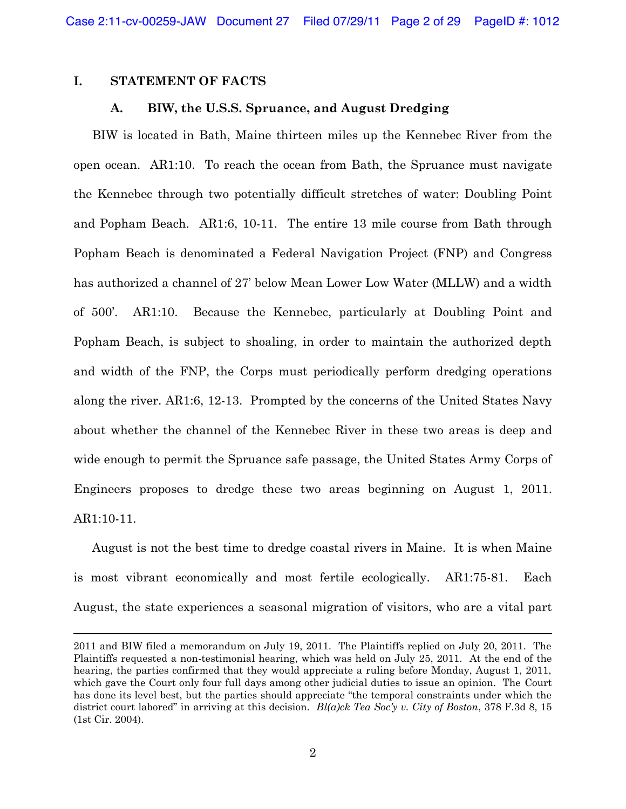### **I. STATEMENT OF FACTS**

#### **A. BIW, the U.S.S. Spruance, and August Dredging**

BIW is located in Bath, Maine thirteen miles up the Kennebec River from the open ocean. AR1:10. To reach the ocean from Bath, the Spruance must navigate the Kennebec through two potentially difficult stretches of water: Doubling Point and Popham Beach. AR1:6, 10-11. The entire 13 mile course from Bath through Popham Beach is denominated a Federal Navigation Project (FNP) and Congress has authorized a channel of 27' below Mean Lower Low Water (MLLW) and a width of 500·. AR1:10. Because the Kennebec, particularly at Doubling Point and Popham Beach, is subject to shoaling, in order to maintain the authorized depth and width of the FNP, the Corps must periodically perform dredging operations along the river. AR1:6, 12-13. Prompted by the concerns of the United States Navy about whether the channel of the Kennebec River in these two areas is deep and wide enough to permit the Spruance safe passage, the United States Army Corps of Engineers proposes to dredge these two areas beginning on August 1, 2011. AR1:10-11.

August is not the best time to dredge coastal rivers in Maine. It is when Maine is most vibrant economically and most fertile ecologically. AR1:75-81. Each August, the state experiences a seasonal migration of visitors, who are a vital part

!!!!!!!!!!!!!!!!!!!!!!!!!!!!!!!!!!!!!!!!!!!!!!!!!!!!!!!!!!!!!!!!!!!!!!!!!!!!!!!!!!!!!!!!!!!!!!!!!!!!!!!!!!!!!!!!!!!!!!!!!!!!!!!!!!!!!!!!!!!!!!!!!!!!!!!!!!!!!!!!!!!!!!!!!!!!!!!!!!!!!!!!!!

<sup>2011</sup> and BIW filed a memorandum on July 19, 2011. The Plaintiffs replied on July 20, 2011. The Plaintiffs requested a non-testimonial hearing, which was held on July 25, 2011. At the end of the hearing, the parties confirmed that they would appreciate a ruling before Monday, August 1, 2011, which gave the Court only four full days among other judicial duties to issue an opinion. The Court has done its level best, but the parties should appreciate "the temporal constraints under which the district court labored" in arriving at this decision.  $Bl(a)ck$  Tea Soc'y v. City of Boston, 378 F.3d 8, 15 (1st Cir. 2004).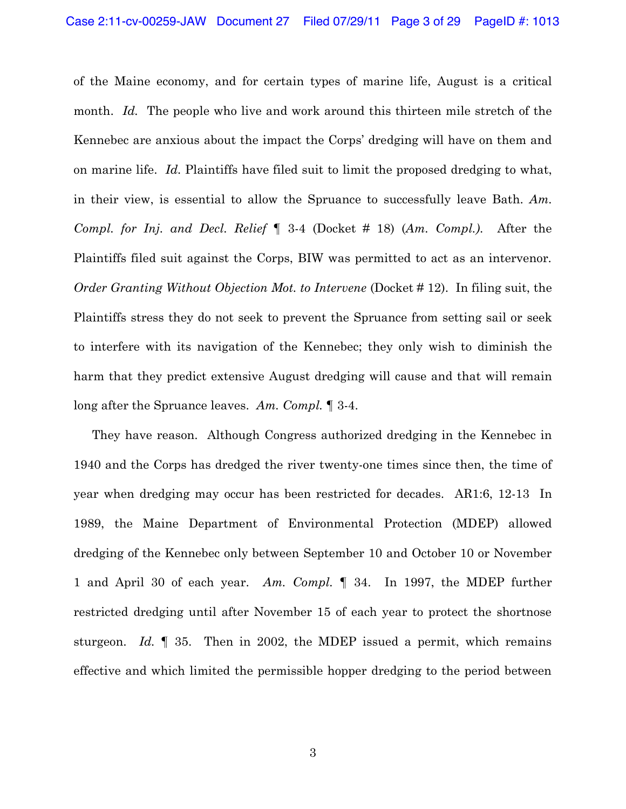of the Maine economy, and for certain types of marine life, August is a critical month. *Id.* The people who live and work around this thirteen mile stretch of the Kennebec are anxious about the impact the Corps' dredging will have on them and on marine life. *Id.* Plaintiffs have filed suit to limit the proposed dredging to what, in their view, is essential to allow the Spruance to successfully leave Bath. *Am. Compl.* for Inj. and Decl. Relief | 3-4 (Docket # 18) (*Am. Compl.*). After the Plaintiffs filed suit against the Corps, BIW was permitted to act as an intervenor. *Order Granting Without Objection Mot. to Intervene* (Docket # 12). In filing suit, the Plaintiffs stress they do not seek to prevent the Spruance from setting sail or seek to interfere with its navigation of the Kennebec; they only wish to diminish the harm that they predict extensive August dredging will cause and that will remain long after the Spruance leaves. Am. Compl. 1 3-4.

They have reason. Although Congress authorized dredging in the Kennebec in 1940 and the Corps has dredged the river twenty-one times since then, the time of year when dredging may occur has been restricted for decades. AR1:6, 12-13 In 1989, the Maine Department of Environmental Protection (MDEP) allowed dredging of the Kennebec only between September 10 and October 10 or November 1 and April 30 of each year. *Am. Compl.* ¶ 34. In 1997, the MDEP further restricted dredging until after November 15 of each year to protect the shortnose sturgeon. *Id.* ¶ 35. Then in 2002, the MDEP issued a permit, which remains effective and which limited the permissible hopper dredging to the period between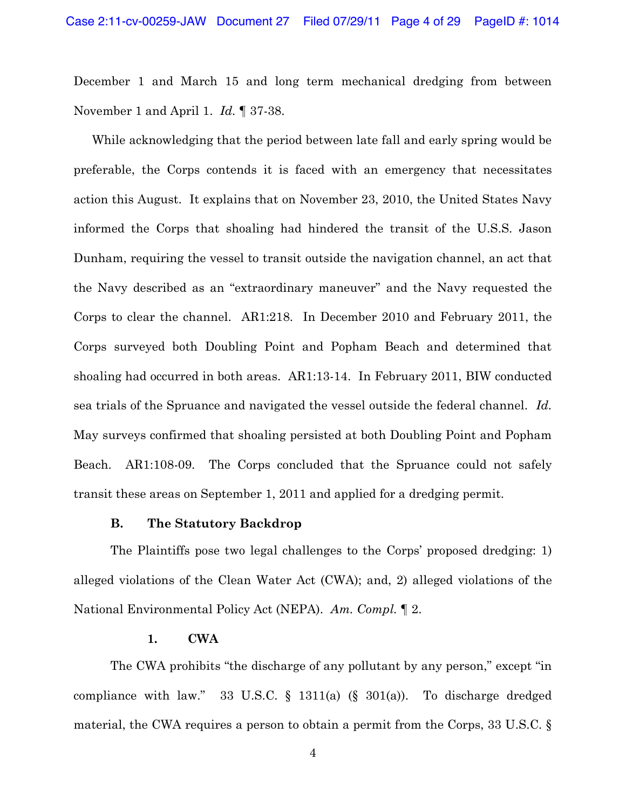December 1 and March 15 and long term mechanical dredging from between November 1 and April 1. *Id.* 1 37-38.

While acknowledging that the period between late fall and early spring would be preferable, the Corps contends it is faced with an emergency that necessitates action this August. It explains that on November 23, 2010, the United States Navy informed the Corps that shoaling had hindered the transit of the U.S.S. Jason Dunham, requiring the vessel to transit outside the navigation channel, an act that the Navy described as an "extraordinary maneuver" and the Navy requested the Corps to clear the channel. AR1:218. In December 2010 and February 2011, the Corps surveyed both Doubling Point and Popham Beach and determined that shoaling had occurred in both areas.  $AR1:13-14$ . In February 2011, BIW conducted sea trials of the Spruance and navigated the vessel outside the federal channel. *Id.*  May surveys confirmed that shoaling persisted at both Doubling Point and Popham Beach.  $AR1:108-09$ . The Corps concluded that the Spruance could not safely transit these areas on September 1, 2011 and applied for a dredging permit.

### **B. The Statutory Backdrop**

The Plaintiffs pose two legal challenges to the Corps' proposed dredging: 1) alleged violations of the Clean Water Act (CWA); and, 2) alleged violations of the National Environmental Policy Act (NEPA). *Am. Compl.* ¶ 2.

#### **1. CWA**

The CWA prohibits "the discharge of any pollutant by any person," except "in compliance with law." 33 U.S.C.  $\S$  1311(a)  $(\S$  301(a)). To discharge dredged material, the CWA requires a person to obtain a permit from the Corps, 33 U.S.C. §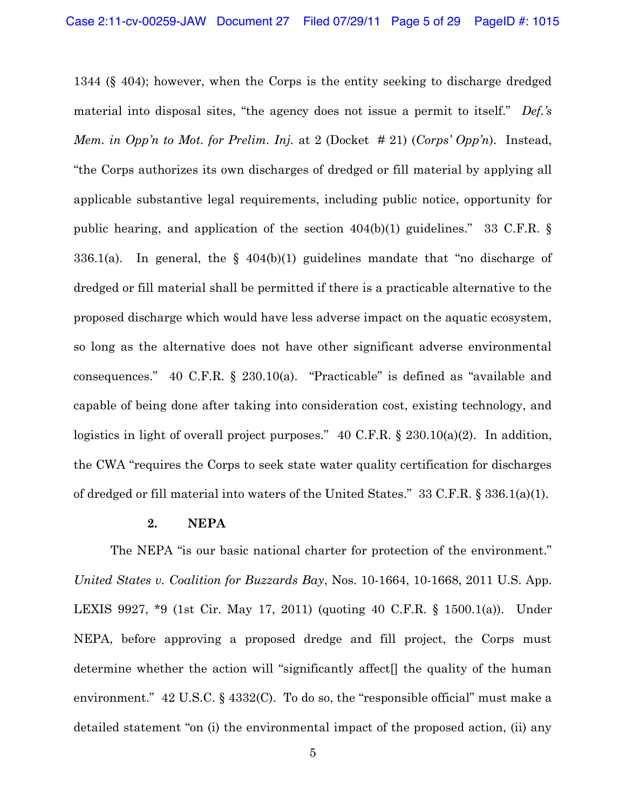1344 ( $\S$  404); however, when the Corps is the entity seeking to discharge dredged material into disposal sites, "the agency does not issue a permit to itself." *Def.*'s *Mem. in Opp'n to Mot. for Prelim. Inj.* at 2 (Docket # 21) (*Corps' Opp'n*). Instead, "the Corps authorizes its own discharges of dredged or fill material by applying all applicable substantive legal requirements, including public notice, opportunity for public hearing, and application of the section  $404(b)(1)$  guidelines." 33 C.F.R. § 336.1(a). In general, the  $\S$  404(b)(1) guidelines mandate that "no discharge of dredged or fill material shall be permitted if there is a practicable alternative to the proposed discharge which would have less adverse impact on the aquatic ecosystem, so long as the alternative does not have other significant adverse environmental consequences."  $40$  C.F.R. §  $230.10(a)$ . "Practicable" is defined as "available and capable of being done after taking into consideration cost, existing technology, and logistics in light of overall project purposes." 40 C.F.R. § 230.10(a)(2). In addition, the CWA "requires the Corps to seek state water quality certification for discharges of dredged or fill material into waters of the United States." 33 C.F.R.  $\S 336.1(a)(1)$ .

### **2. NEPA**

The NEPA "is our basic national charter for protection of the environment." *United States v. Coalition for Buzzards Bay*, Nos. 10-1664, 10-1668, 2011 U.S. App. LEXIS 9927, \*9 (1st Cir. May 17, 2011) (quoting 40 C.F.R. § 1500.1(a)).Under NEPA, before approving a proposed dredge and fill project, the Corps must determine whether the action will "significantly affect<sup>[]</sup> the quality of the human environment."  $42$  U.S.C.  $\frac{24332}{C}$ . To do so, the "responsible official" must make a detailed statement "on (i) the environmental impact of the proposed action, (ii) any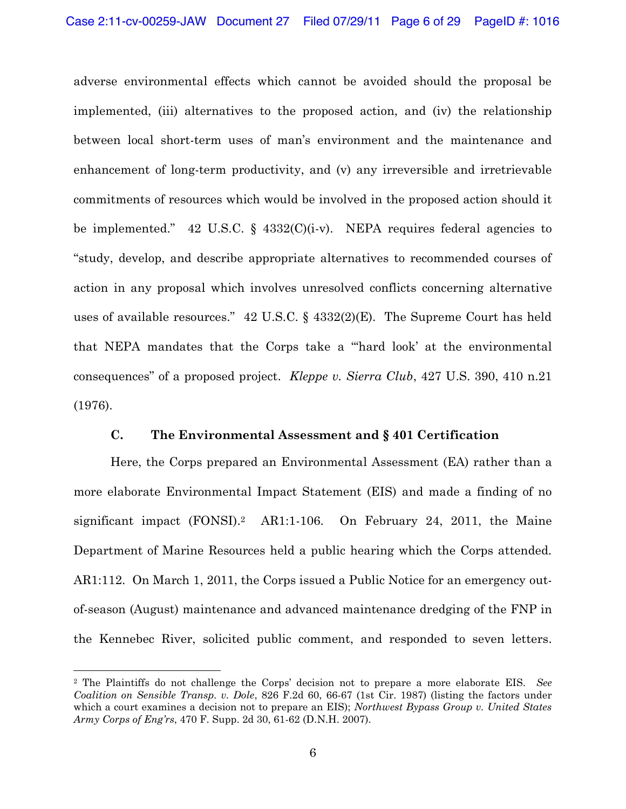adverse environmental effects which cannot be avoided should the proposal be implemented, (iii) alternatives to the proposed action, and (iv) the relationship between local short-term uses of man's environment and the maintenance and enhancement of long-term productivity, and (v) any irreversible and irretrievable commitments of resources which would be involved in the proposed action should it be implemented." 42 U.S.C. §  $4332(C)(i-v)$ . NEPA requires federal agencies to "study, develop, and describe appropriate alternatives to recommended courses of action in any proposal which involves unresolved conflicts concerning alternative uses of available resources."  $42$  U.S.C. §  $4332(2)(E)$ . The Supreme Court has held that NEPA mandates that the Corps take a "hard look' at the environmental consequences" of a proposed project. *Kleppe v. Sierra Club*, 427 U.S. 390, 410 n.21 (1976).

### **C. The Environmental Assessment and § 401 Certification**

Here, the Corps prepared an Environmental Assessment (EA) rather than a more elaborate Environmental Impact Statement (EIS) and made a finding of no significant impact  $(FONSI).<sup>2</sup> AR1:1-106.$  On February 24, 2011, the Maine Department of Marine Resources held a public hearing which the Corps attended. AR1:112. On March 1, 2011, the Corps issued a Public Notice for an emergency outof-season (August) maintenance and advanced maintenance dredging of the FNP in the Kennebec River, solicited public comment, and responded to seven letters.

!!!!!!!!!!!!!!!!!!!!!!!!!!!!!!!!!!!!!!!!!!!!!!!!!!!!!!!!!!

<sup>&</sup>lt;sup>2</sup> The Plaintiffs do not challenge the Corps' decision not to prepare a more elaborate EIS. See *Coalition on Sensible Transp. v. Dole*, 826 F.2d 60, 66-67 (1st Cir. 1987) (listing the factors under which a court examines a decision not to prepare an EIS); *Northwest Bypass Group v. United States Army Corps of Eng'rs, 470 F. Supp. 2d 30, 61-62 (D.N.H. 2007).*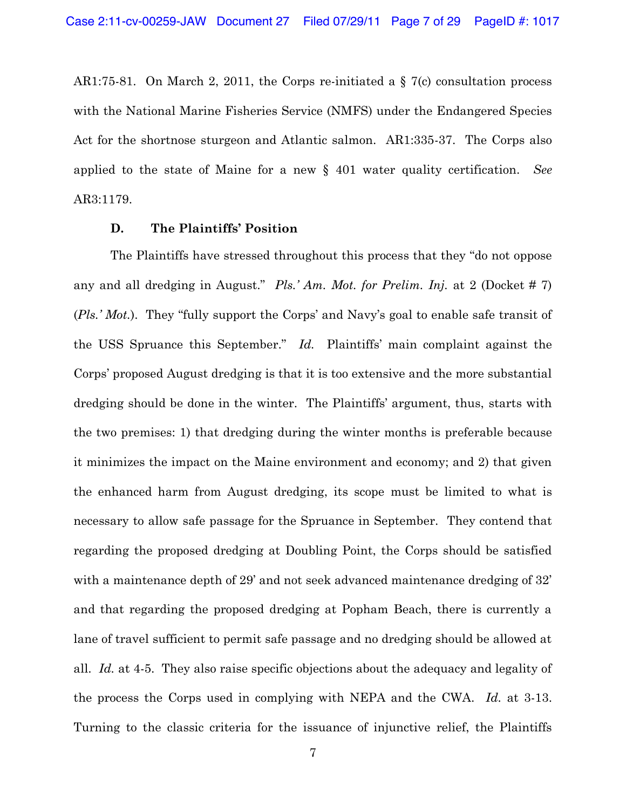AR1:75-81. On March 2, 2011, the Corps re-initiated a  $\S$  7(c) consultation process with the National Marine Fisheries Service (NMFS) under the Endangered Species Act for the shortnose sturgeon and Atlantic salmon. AR1:335-37. The Corps also applied to the state of Maine for a new § 401 water quality certification. *See*  AR3:1179.

### **D.** The Plaintiffs' Position

The Plaintiffs have stressed throughout this process that they "do not oppose" any and all dredging in August." Pls.' Am. Mot. for Prelim. Inj. at 2 (Docket # 7) (*Pls.' Mot.*). They "fully support the Corps' and Navy's goal to enable safe transit of the USS Spruance this September." *Id.* Plaintiffs' main complaint against the Corps' proposed August dredging is that it is too extensive and the more substantial dredging should be done in the winter. The Plaintiffs' argument, thus, starts with the two premises: 1) that dredging during the winter months is preferable because it minimizes the impact on the Maine environment and economy; and 2) that given the enhanced harm from August dredging, its scope must be limited to what is necessary to allow safe passage for the Spruance in September. They contend that regarding the proposed dredging at Doubling Point, the Corps should be satisfied with a maintenance depth of 29 and not seek advanced maintenance dredging of  $32'$ and that regarding the proposed dredging at Popham Beach, there is currently a lane of travel sufficient to permit safe passage and no dredging should be allowed at all. *Id.* at 4-5. They also raise specific objections about the adequacy and legality of the process the Corps used in complying with NEPA and the CWA. *Id.* at 3-13. Turning to the classic criteria for the issuance of injunctive relief, the Plaintiffs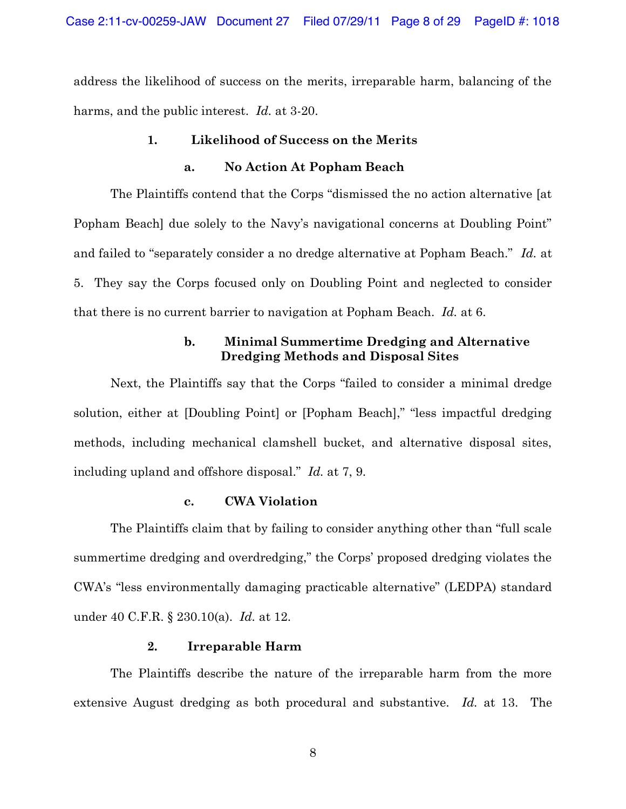address the likelihood of success on the merits, irreparable harm, balancing of the harms, and the public interest. *Id.* at 3-20.

### **1. Likelihood of Success on the Merits**

#### **a. No Action At Popham Beach**

The Plaintiffs contend that the Corps "dismissed the no action alternative [at] Popham Beach due solely to the Navy's navigational concerns at Doubling Point" and failed to "separately consider a no dredge alternative at Popham Beach." Id. at 5. They say the Corps focused only on Doubling Point and neglected to consider that there is no current barrier to navigation at Popham Beach. *Id.* at 6.

## **b. Minimal Summertime Dredging and Alternative Dredging Methods and Disposal Sites**

Next, the Plaintiffs say that the Corps "failed to consider a minimal dredge solution, either at [Doubling Point] or [Popham Beach]," "less impactful dredging methods, including mechanical clamshell bucket, and alternative disposal sites, including upland and offshore disposal." *Id.* at 7, 9.

### **c. CWA Violation**

The Plaintiffs claim that by failing to consider anything other than "full scale" summertime dredging and overdredging," the Corps' proposed dredging violates the CWA's "less environmentally damaging practicable alternative" (LEDPA) standard under 40 C.F.R. § 230.10(a). *Id.* at 12.

### **2. Irreparable Harm**

The Plaintiffs describe the nature of the irreparable harm from the more extensive August dredging as both procedural and substantive. *Id.* at 13. The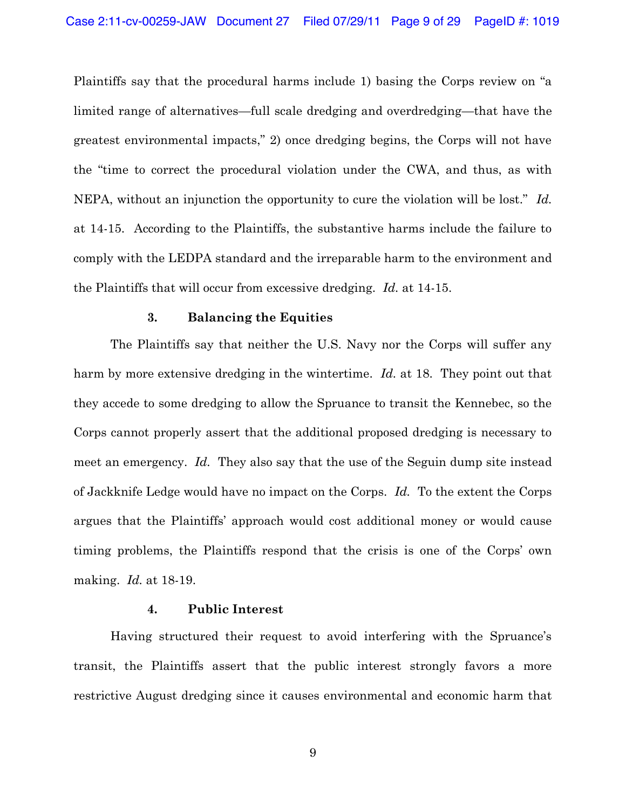Plaintiffs say that the procedural harms include 1) basing the Corps review on "a limited range of alternatives—full scale dredging and overdredging—that have the greatest environmental impacts," 2) once dredging begins, the Corps will not have the "time to correct the procedural violation under the CWA, and thus, as with NEPA, without an injunction the opportunity to cure the violation will be lost." Id. at 14-15. According to the Plaintiffs, the substantive harms include the failure to comply with the LEDPA standard and the irreparable harm to the environment and the Plaintiffs that will occur from excessive dredging. *Id.* at 14-15.

#### **3. Balancing the Equities**

The Plaintiffs say that neither the U.S. Navy nor the Corps will suffer any harm by more extensive dredging in the wintertime. *Id.* at 18. They point out that they accede to some dredging to allow the Spruance to transit the Kennebec, so the Corps cannot properly assert that the additional proposed dredging is necessary to meet an emergency. *Id.* They also say that the use of the Seguin dump site instead of Jackknife Ledge would have no impact on the Corps. *Id.* To the extent the Corps argues that the Plaintiffs' approach would cost additional money or would cause timing problems, the Plaintiffs respond that the crisis is one of the Corps' own making. *Id.* at 18-19.

### **4. Public Interest**

Having structured their request to avoid interfering with the Spruance's transit, the Plaintiffs assert that the public interest strongly favors a more restrictive August dredging since it causes environmental and economic harm that

9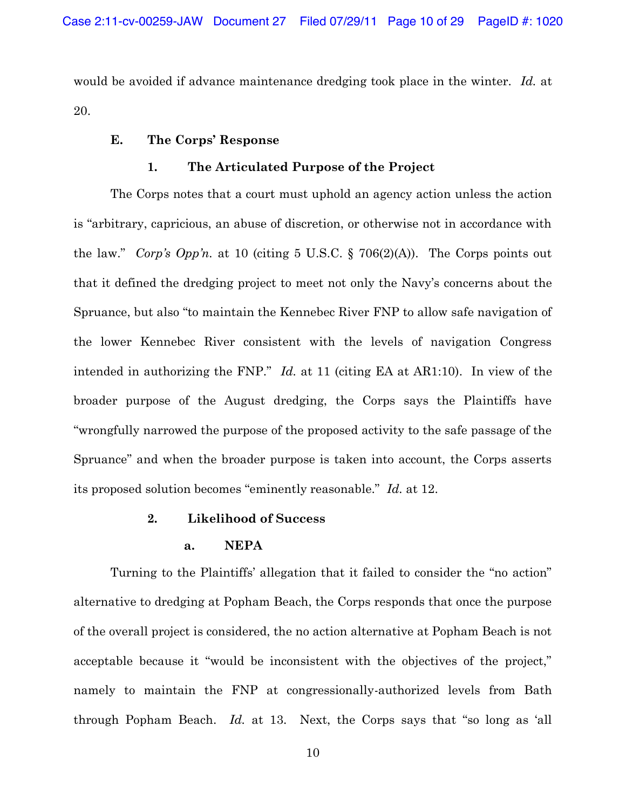would be avoided if advance maintenance dredging took place in the winter. *Id.* at 20.

### **E.** The Corps' Response

### **1. The Articulated Purpose of the Project**

The Corps notes that a court must uphold an agency action unless the action is "arbitrary, capricious, an abuse of discretion, or otherwise not in accordance with the law." Corp's Opp'n. at 10 (citing 5 U.S.C.  $\S$  706(2)(A)). The Corps points out that it defined the dredging project to meet not only the Navy's concerns about the Spruance, but also "to maintain the Kennebec River FNP to allow safe navigation of the lower Kennebec River consistent with the levels of navigation Congress intended in authorizing the FNP."  $Id$ , at 11 (citing EA at AR1:10). In view of the broader purpose of the August dredging, the Corps says the Plaintiffs have "wrongfully narrowed the purpose of the proposed activity to the safe passage of the Spruance" and when the broader purpose is taken into account, the Corps asserts its proposed solution becomes "eminently reasonable." *Id.* at 12.

#### **2. Likelihood of Success**

### **a. NEPA**

Turning to the Plaintiffs' allegation that it failed to consider the "no action" alternative to dredging at Popham Beach, the Corps responds that once the purpose of the overall project is considered, the no action alternative at Popham Beach is not acceptable because it "would be inconsistent with the objectives of the project," namely to maintain the FNP at congressionally-authorized levels from Bath through Popham Beach. *Id.* at 13. Next, the Corps says that "so long as 'all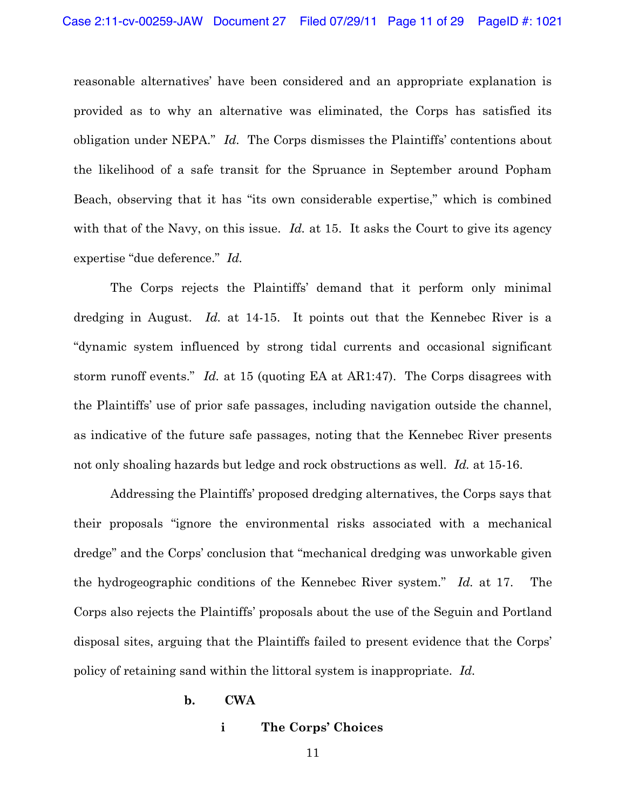reasonable alternatives' have been considered and an appropriate explanation is provided as to why an alternative was eliminated, the Corps has satisfied its obligation under NEPA." *Id.* The Corps dismisses the Plaintiffs' contentions about the likelihood of a safe transit for the Spruance in September around Popham Beach, observing that it has "its own considerable expertise," which is combined with that of the Navy, on this issue. *Id.* at 15. It asks the Court to give its agency expertise "due deference." *Id.* 

The Corps rejects the Plaintiffs' demand that it perform only minimal dredging in August. *Id.* at 14-15. It points out that the Kennebec River is a "dynamic system influenced by strong tidal currents and occasional significant storm runoff events." *Id.* at 15 (quoting EA at AR1:47). The Corps disagrees with the Plaintiffs' use of prior safe passages, including navigation outside the channel, as indicative of the future safe passages, noting that the Kennebec River presents not only shoaling hazards but ledge and rock obstructions as well. *Id.* at 15-16.

Addressing the Plaintiffs' proposed dredging alternatives, the Corps says that their proposals "ignore the environmental risks associated with a mechanical dredge" and the Corps' conclusion that "mechanical dredging was unworkable given the hydrogeographic conditions of the Kennebec River system." *Id.* at 17. The Corps also rejects the Plaintiffs' proposals about the use of the Seguin and Portland disposal sites, arguing that the Plaintiffs failed to present evidence that the Corps' policy of retaining sand within the littoral system is inappropriate. *Id.* 

#### **b. CWA**

#### **i 7he Corps' Choices**

11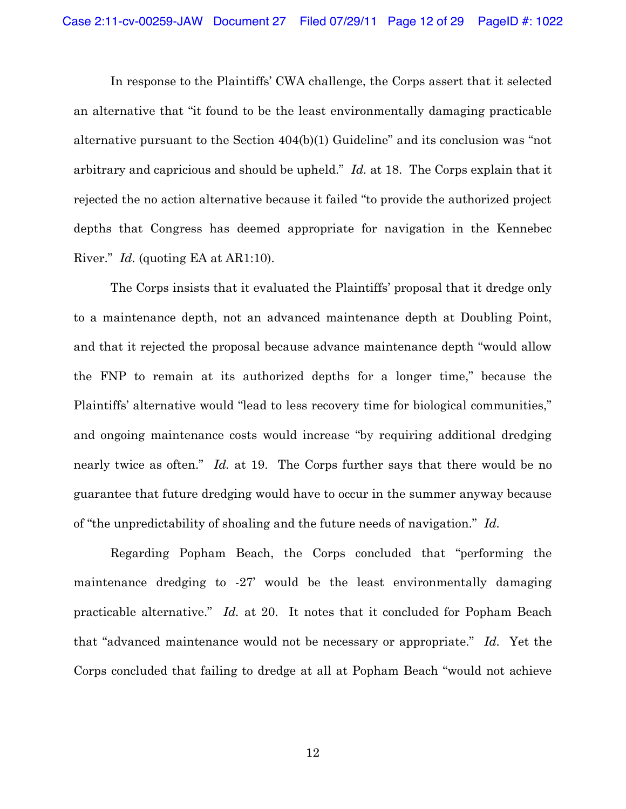In response to the Plaintiffs' CWA challenge, the Corps assert that it selected an alternative that "it found to be the least environmentally damaging practicable alternative pursuant to the Section  $404(b)(1)$  Guideline" and its conclusion was "not arbitrary and capricious and should be upheld." *Id.* at 18. The Corps explain that it rejected the no action alternative because it failed "to provide the authorized project depths that Congress has deemed appropriate for navigation in the Kennebec River." *Id.* (quoting EA at AR1:10).

The Corps insists that it evaluated the Plaintiffs' proposal that it dredge only to a maintenance depth, not an advanced maintenance depth at Doubling Point, and that it rejected the proposal because advance maintenance depth "would allow the FNP to remain at its authorized depths for a longer time," because the Plaintiffs' alternative would "lead to less recovery time for biological communities," and ongoing maintenance costs would increase "by requiring additional dredging nearly twice as often." *Id.* at 19. The Corps further says that there would be no guarantee that future dredging would have to occur in the summer anyway because of "the unpredictability of shoaling and the future needs of navigation." Id.

Regarding Popham Beach, the Corps concluded that "performing the maintenance dredging to  $-27$  would be the least environmentally damaging practicable alternative." *Id.* at 20. It notes that it concluded for Popham Beach that "advanced maintenance would not be necessary or appropriate." Id. Yet the Corps concluded that failing to dredge at all at Popham Beach "would not achieve

12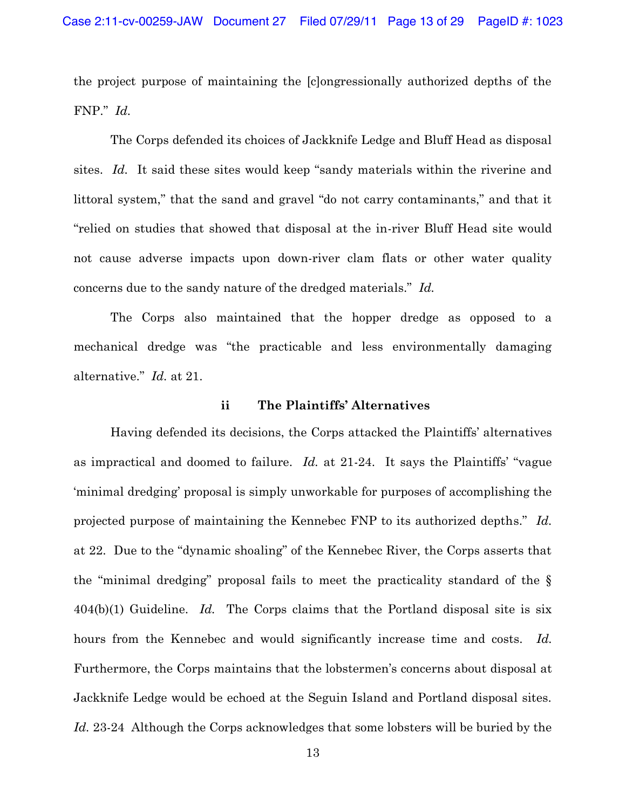the project purpose of maintaining the [c]ongressionally authorized depths of the FNP." *Id.* 

The Corps defended its choices of Jackknife Ledge and Bluff Head as disposal sites. *Id.* It said these sites would keep "sandy materials within the riverine and littoral system," that the sand and gravel "do not carry contaminants," and that it "relied on studies that showed that disposal at the in-river Bluff Head site would not cause adverse impacts upon down-river clam flats or other water quality concerns due to the sandy nature of the dredged materials." Id.

The Corps also maintained that the hopper dredge as opposed to a mechanical dredge was "the practicable and less environmentally damaging alternative." *Id.* at 21.

#### **ii** The Plaintiffs' Alternatives

Having defended its decisions, the Corps attacked the Plaintiffs' alternatives as impractical and doomed to failure. *Id.* at 21-24. It says the Plaintiffs' "vague minimal dredging' proposal is simply unworkable for purposes of accomplishing the projected purpose of maintaining the Kennebec FNP to its authorized depths.<sup>*Id.*</sup> at 22. Due to the "dynamic shoaling" of the Kennebec River, the Corps asserts that the "minimal dredging" proposal fails to meet the practicality standard of the  $\S$ 404(b)(1) Guideline. *Id.* The Corps claims that the Portland disposal site is six hours from the Kennebec and would significantly increase time and costs. *Id.*  Furthermore, the Corps maintains that the lobstermen's concerns about disposal at Jackknife Ledge would be echoed at the Seguin Island and Portland disposal sites. *Id.* 23-24 Although the Corps acknowledges that some lobsters will be buried by the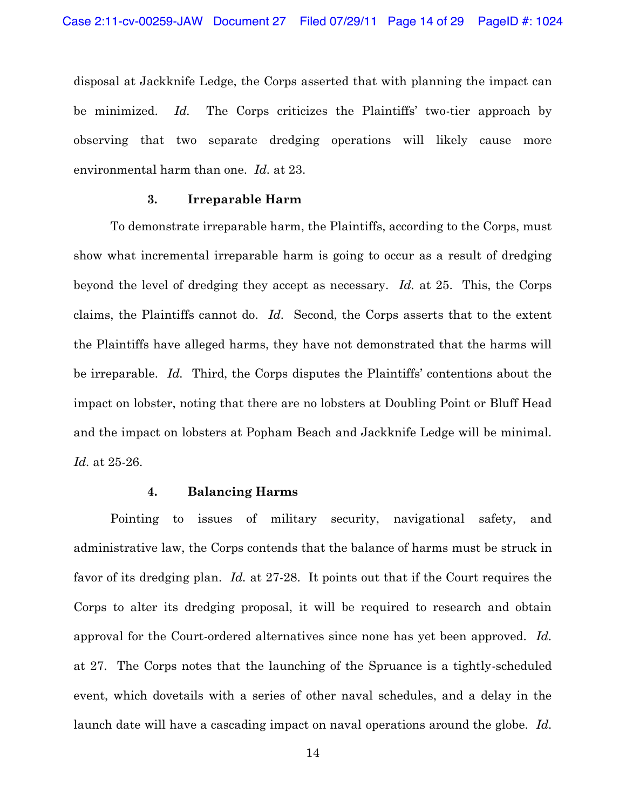disposal at Jackknife Ledge, the Corps asserted that with planning the impact can be minimized. *Id.* The Corps criticizes the Plaintiffs' two-tier approach by observing that two separate dredging operations will likely cause more environmental harm than one. *Id.* at 23.

### **3. Irreparable Harm**

To demonstrate irreparable harm, the Plaintiffs, according to the Corps, must show what incremental irreparable harm is going to occur as a result of dredging beyond the level of dredging they accept as necessary. *Id.* at 25. This, the Corps claims, the Plaintiffs cannot do. *Id.* Second, the Corps asserts that to the extent the Plaintiffs have alleged harms, they have not demonstrated that the harms will be irreparable. *Id.* Third, the Corps disputes the Plaintiffs' contentions about the impact on lobster, noting that there are no lobsters at Doubling Point or Bluff Head and the impact on lobsters at Popham Beach and Jackknife Ledge will be minimal. *Id.* at 25-26.

#### **4. Balancing Harms**

Pointing to issues of military security, navigational safety, and administrative law, the Corps contends that the balance of harms must be struck in favor of its dredging plan. *Id.* at 27-28. It points out that if the Court requires the Corps to alter its dredging proposal, it will be required to research and obtain approval for the Court-ordered alternatives since none has yet been approved. *Id.* at 27. The Corps notes that the launching of the Spruance is a tightly-scheduled event, which dovetails with a series of other naval schedules, and a delay in the launch date will have a cascading impact on naval operations around the globe. *Id.*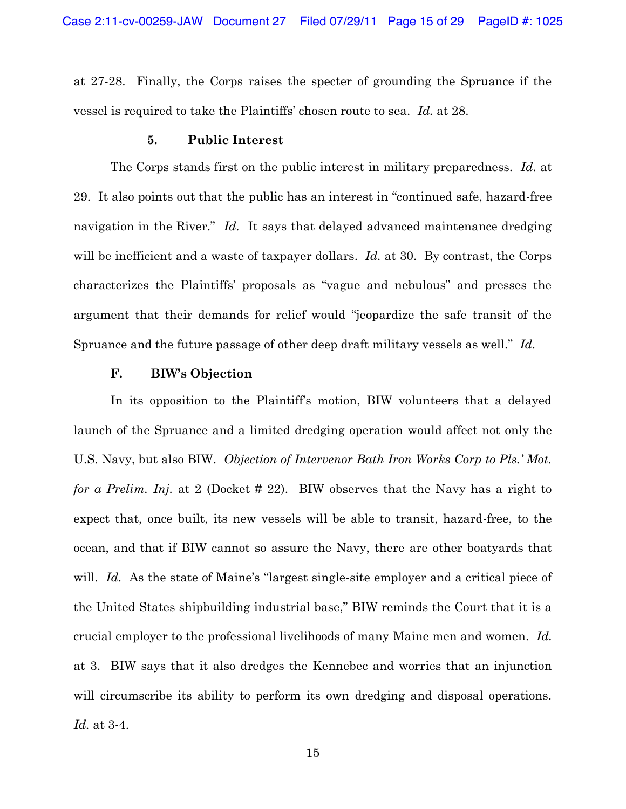at 27-28. Finally, the Corps raises the specter of grounding the Spruance if the vessel is required to take the Plaintiffs' chosen route to sea. Id. at 28.

#### **5. Public Interest**

The Corps stands first on the public interest in military preparedness. *Id.* at 29. It also points out that the public has an interest in "continued safe, hazard-free navigation in the River." *Id.* It says that delayed advanced maintenance dredging will be inefficient and a waste of taxpayer dollars. *Id.* at 30. By contrast, the Corps characterizes the Plaintiffs' proposals as "vague and nebulous" and presses the argument that their demands for relief would "jeopardize the safe transit of the Spruance and the future passage of other deep draft military vessels as well." Id.

### **F. BIW's Objection**

In its opposition to the Plaintiff's motion, BIW volunteers that a delayed launch of the Spruance and a limited dredging operation would affect not only the U.S. Navy, but also BIW. *Objection of Intervenor Bath Iron Works Corp to Pls.' Mot. for a Prelim. Inj.* at 2 (Docket # 22). BIW observes that the Navy has a right to expect that, once built, its new vessels will be able to transit, hazard-free, to the ocean, and that if BIW cannot so assure the Navy, there are other boatyards that will. *Id.* As the state of Maine's "largest single-site employer and a critical piece of the United States shipbuilding industrial base," BIW reminds the Court that it is a crucial employer to the professional livelihoods of many Maine men and women. *Id.*  at 3. BIW says that it also dredges the Kennebec and worries that an injunction will circumscribe its ability to perform its own dredging and disposal operations. *Id.* at 3-4.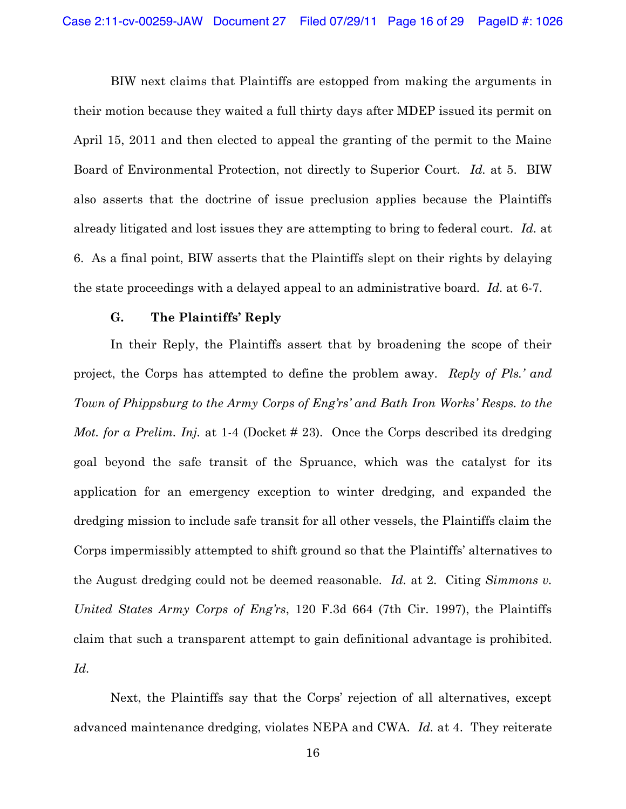BIW next claims that Plaintiffs are estopped from making the arguments in their motion because they waited a full thirty days after MDEP issued its permit on April 15, 2011 and then elected to appeal the granting of the permit to the Maine Board of Environmental Protection, not directly to Superior Court. *Id.* at 5. BIW also asserts that the doctrine of issue preclusion applies because the Plaintiffs already litigated and lost issues they are attempting to bring to federal court. *Id.* at 6. As a final point, BIW asserts that the Plaintiffs slept on their rights by delaying the state proceedings with a delayed appeal to an administrative board. *Id.* at 6-7.

### **G.** The Plaintiffs' Reply

In their Reply, the Plaintiffs assert that by broadening the scope of their project, the Corps has attempted to define the problem away. *Reply of Pls.' and Town of Phippsburg to the Army Corps of Eng'rs' and Bath Iron Works' Resps. to the Mot. for a Prelim. Inj.* at 1-4 (Docket # 23). Once the Corps described its dredging goal beyond the safe transit of the Spruance, which was the catalyst for its application for an emergency exception to winter dredging, and expanded the dredging mission to include safe transit for all other vessels, the Plaintiffs claim the Corps impermissibly attempted to shift ground so that the Plaintiffs' alternatives to the August dredging could not be deemed reasonable. *Id.* at 2. Citing *Simmons v. United States Army Corps of Eng'rs*, 120 F.3d 664 (7th Cir. 1997), the Plaintiffs claim that such a transparent attempt to gain definitional advantage is prohibited. *Id.* 

Next, the Plaintiffs say that the Corps' rejection of all alternatives, except advanced maintenance dredging, violates NEPA and CWA. *Id.* at 4. They reiterate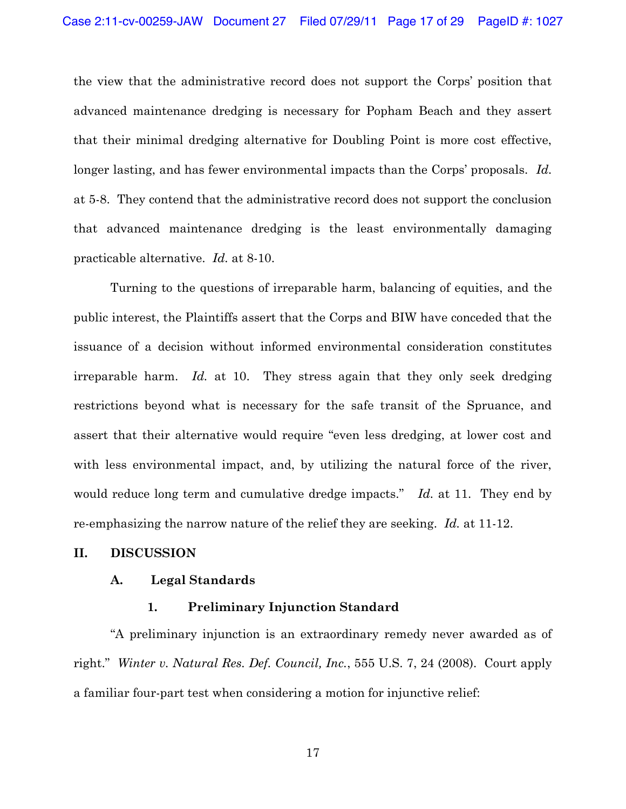the view that the administrative record does not support the Corps' position that advanced maintenance dredging is necessary for Popham Beach and they assert that their minimal dredging alternative for Doubling Point is more cost effective, longer lasting, and has fewer environmental impacts than the Corps' proposals. Id. at 5-8. They contend that the administrative record does not support the conclusion that advanced maintenance dredging is the least environmentally damaging practicable alternative. *Id.* at 8-10.

Turning to the questions of irreparable harm, balancing of equities, and the public interest, the Plaintiffs assert that the Corps and BIW have conceded that the issuance of a decision without informed environmental consideration constitutes irreparable harm. *Id.* at 10. They stress again that they only seek dredging restrictions beyond what is necessary for the safe transit of the Spruance, and assert that their alternative would require "even less dredging, at lower cost and with less environmental impact, and, by utilizing the natural force of the river, would reduce long term and cumulative dredge impacts." *Id.* at 11. They end by re-emphasizing the narrow nature of the relief they are seeking. *Id.* at 11-12.

### **II. DISCUSSION**

#### **A. Legal Standards**

### **1. Preliminary Injunction Standard**

"A preliminary injunction is an extraordinary remedy never awarded as of right." Winter v. Natural Res. Def. Council, Inc., 555 U.S. 7, 24 (2008). Court apply a familiar four-part test when considering a motion for injunctive relief: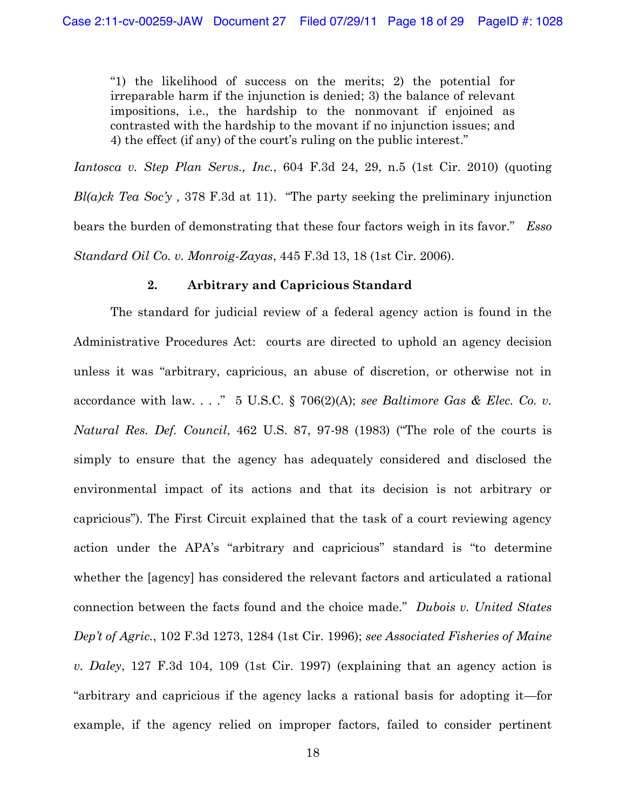"1) the likelihood of success on the merits; 2) the potential for  $i$ irreparable harm if the injunction is denied; 3) the balance of relevant impositions, i.e., the hardship to the nonmovant if enjoined as contrasted with the hardship to the movant if no injunction issues; and 4) the effect (if any) of the court's ruling on the public interest."

*Iantosca v. Step Plan Servs., Inc.*, 604 F.3d 24, 29, n.5 (1st Cir. 2010) (quoting  $Bl(a)$ ck Tea Soc'y, 378 F.3d at 11). "The party seeking the preliminary injunction bears the burden of demonstrating that these four factors weigh in its favor." *Esso Standard Oil Co. v. Monroig-Zayas,* 445 F.3d 13, 18 (1st Cir. 2006).

### **2. Arbitrary and Capricious Standard**

The standard for judicial review of a federal agency action is found in the Administrative Procedures Act: courts are directed to uphold an agency decision unless it was "arbitrary, capricious, an abuse of discretion, or otherwise not in accordance with law.  $\ldots$   $\overset{?}{\sim}$  5 U.S.C. § 706(2)(A); see Baltimore Gas & Elec. Co. v. *Natural Res. Def. Council,* 462 U.S. 87, 97-98 (1983) ("The role of the courts is simply to ensure that the agency has adequately considered and disclosed the environmental impact of its actions and that its decision is not arbitrary or capricious"). The First Circuit explained that the task of a court reviewing agency action under the APA's "arbitrary and capricious" standard is "to determine whether the [agency] has considered the relevant factors and articulated a rational connection between the facts found and the choice made.µ *Dubois v. United States Dep't of Agric.*, 102 F.3d 1273, 1284 (1st Cir. 1996); see Associated Fisheries of Maine *v. Daley*, 127 F.3d 104, 109 (1st Cir. 1997) (explaining that an agency action is "arbitrary and capricious if the agency lacks a rational basis for adopting it—for example, if the agency relied on improper factors, failed to consider pertinent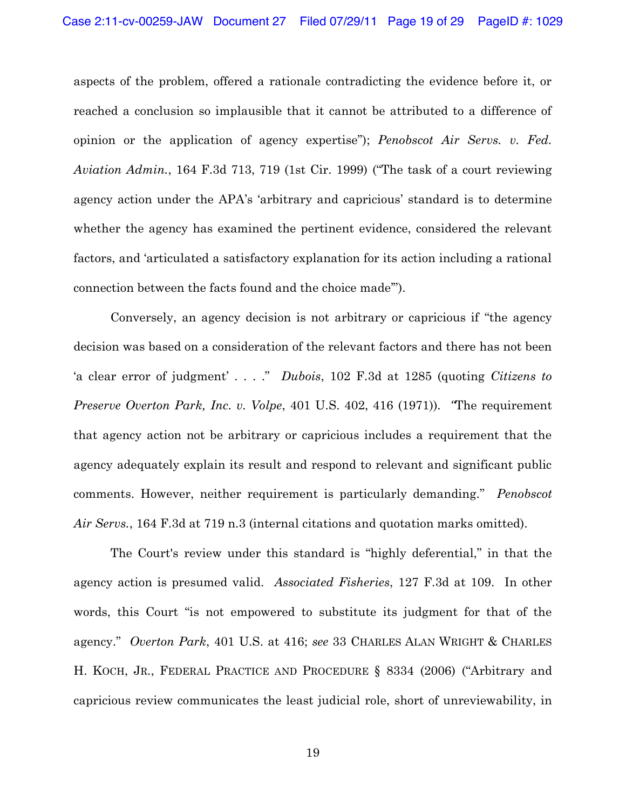aspects of the problem, offered a rationale contradicting the evidence before it, or reached a conclusion so implausible that it cannot be attributed to a difference of opinion or the application of agency expertise"); *Penobscot Air Servs. v. Fed. Aviation Admin.*, 164 F.3d 713, 719 (1st Cir. 1999) ("The task of a court reviewing agency action under the APA's 'arbitrary and capricious' standard is to determine whether the agency has examined the pertinent evidence, considered the relevant factors, and 'articulated a satisfactory explanation for its action including a rational connection between the facts found and the choice made").

Conversely, an agency decision is not arbitrary or capricious if "the agency decision was based on a consideration of the relevant factors and there has not been ¶a clear error of judgment· . . . .µ *Dubois*, 102 F.3d at 1285 (quoting *Citizens to Preserve Overton Park, Inc. v. Volpe*, 401 U.S. 402, 416 (1971)). *´*The requirement that agency action not be arbitrary or capricious includes a requirement that the agency adequately explain its result and respond to relevant and significant public comments. However, neither requirement is particularly demanding." *Penobscot Air Servs.*, 164 F.3d at 719 n.3 (internal citations and quotation marks omitted).

The Court's review under this standard is "highly deferential," in that the agency action is presumed valid. *Associated Fisheries*, 127 F.3d at 109. In other words, this Court "is not empowered to substitute its judgment for that of the agency." *Overton Park*, 401 U.S. at 416; see 33 CHARLES ALAN WRIGHT & CHARLES H. KOCH, JR., FEDERAL PRACTICE AND PROCEDURE § 8334 (2006) ("Arbitrary and capricious review communicates the least judicial role, short of unreviewability, in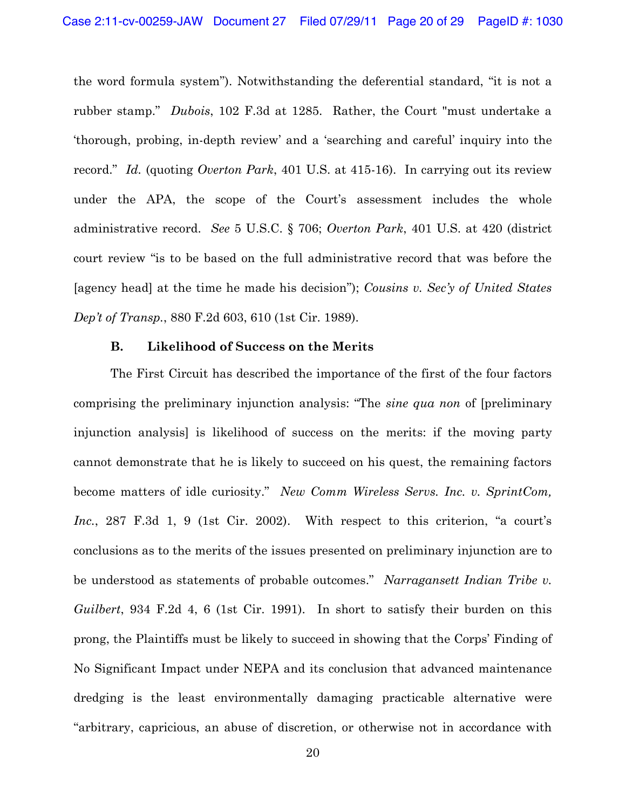the word formula system"). Notwithstanding the deferential standard, "it is not a rubber stamp." *Dubois*, 102 F.3d at 1285. Rather, the Court "must undertake a thorough, probing, in-depth review and a 'searching and careful' inquiry into the record." *Id.* (quoting *Overton Park*, 401 U.S. at 415-16). In carrying out its review under the APA, the scope of the Court's assessment includes the whole administrative record. *See* 5 U.S.C. § 706; *Overton Park*, 401 U.S. at 420 (district court review ´is to be based on the full administrative record that was before the [agency head] at the time he made his decision"); *Cousins v. Sec'y of United States Dep't of Transp.*, 880 F.2d 603, 610 (1st Cir. 1989).

#### **B. Likelihood of Success on the Merits**

The First Circuit has described the importance of the first of the four factors comprising the preliminary injunction analysis: "The *sine qua non* of [preliminary injunction analysis] is likelihood of success on the merits: if the moving party cannot demonstrate that he is likely to succeed on his quest, the remaining factors become matters of idle curiosity." *New Comm Wireless Servs. Inc. v. SprintCom, Inc.*, 287 F.3d 1, 9 (1st Cir. 2002). With respect to this criterion, "a court's conclusions as to the merits of the issues presented on preliminary injunction are to be understood as statements of probable outcomes." Narragansett Indian Tribe v. *Guilbert*, 934 F.2d 4, 6 (1st Cir. 1991). In short to satisfy their burden on this prong, the Plaintiffs must be likely to succeed in showing that the Corps' Finding of No Significant Impact under NEPA and its conclusion that advanced maintenance dredging is the least environmentally damaging practicable alternative were "arbitrary, capricious, an abuse of discretion, or otherwise not in accordance with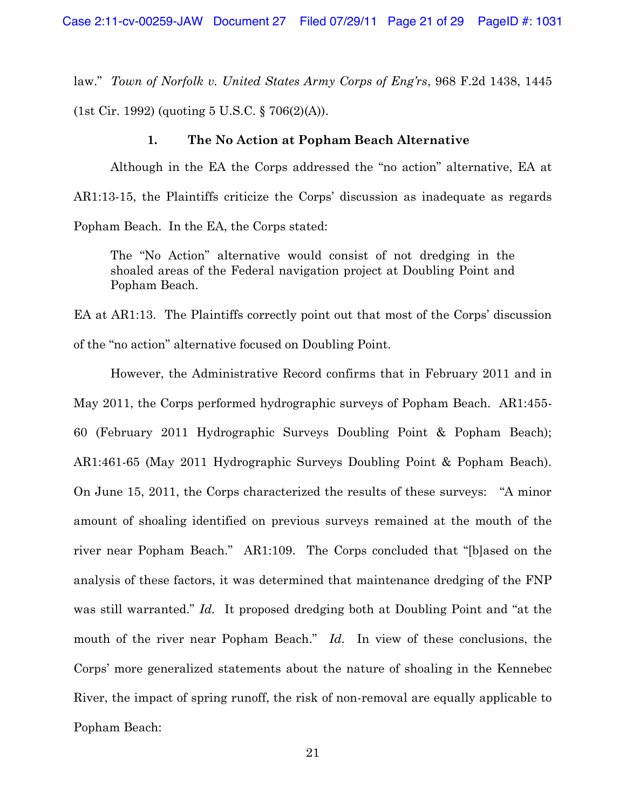law." *Town of Norfolk v. United States Army Corps of Eng'rs*, 968 F.2d 1438, 1445 (1st Cir. 1992) (quoting 5 U.S.C. § 706(2)(A)).

#### **1. The No Action at Popham Beach Alternative**

Although in the EA the Corps addressed the "no action" alternative, EA at  $AR1:13-15$ , the Plaintiffs criticize the Corps' discussion as inadequate as regards Popham Beach. In the EA, the Corps stated:

The "No Action" alternative would consist of not dredging in the shoaled areas of the Federal navigation project at Doubling Point and Popham Beach.

EA at AR1:13. The Plaintiffs correctly point out that most of the Corps' discussion of the "no action" alternative focused on Doubling Point.

However, the Administrative Record confirms that in February 2011 and in May 2011, the Corps performed hydrographic surveys of Popham Beach.  $AR1:455$ 60 (February 2011 Hydrographic Surveys Doubling Point & Popham Beach); AR1:461-65 (May 2011 Hydrographic Surveys Doubling Point & Popham Beach). On June 15, 2011, the Corps characterized the results of these surveys: "A minor amount of shoaling identified on previous surveys remained at the mouth of the river near Popham Beach." AR1:109. The Corps concluded that "[b]ased on the analysis of these factors, it was determined that maintenance dredging of the FNP was still warranted." *Id.* It proposed dredging both at Doubling Point and "at the mouth of the river near Popham Beach." *Id.* In view of these conclusions, the Corps' more generalized statements about the nature of shoaling in the Kennebec River, the impact of spring runoff, the risk of non-removal are equally applicable to Popham Beach: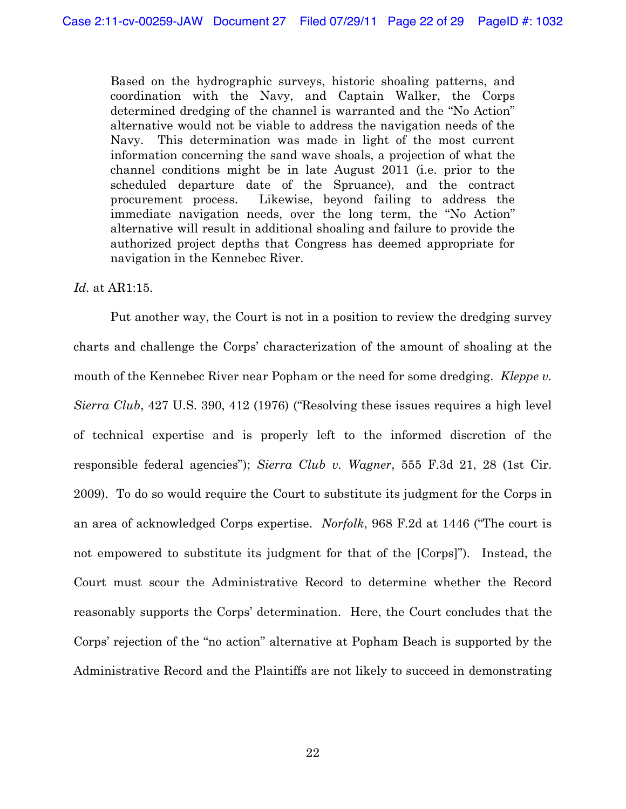Based on the hydrographic surveys, historic shoaling patterns, and coordination with the Navy, and Captain Walker, the Corps determined dredging of the channel is warranted and the "No Action" alternative would not be viable to address the navigation needs of the Navy. This determination was made in light of the most current information concerning the sand wave shoals, a projection of what the channel conditions might be in late August 2011 (i.e. prior to the scheduled departure date of the Spruance), and the contract procurement process. Likewise, beyond failing to address the immediate navigation needs, over the long term, the "No Action" alternative will result in additional shoaling and failure to provide the authorized project depths that Congress has deemed appropriate for navigation in the Kennebec River.

### *Id.* at AR1:15.

Put another way, the Court is not in a position to review the dredging survey charts and challenge the Corps' characterization of the amount of shoaling at the mouth of the Kennebec River near Popham or the need for some dredging. *Kleppe v. Sierra Club*, 427 U.S. 390, 412 (1976) ("Resolving these issues requires a high level of technical expertise and is properly left to the informed discretion of the responsible federal agencies"); *Sierra Club v. Wagner*, 555 F.3d 21, 28 (1st Cir. 2009).To do so would require the Court to substitute its judgment for the Corps in an area of acknowledged Corps expertise. *Norfolk*, 968 F.2d at 1446 ("The court is not empowered to substitute its judgment for that of the [Corps]"). Instead, the Court must scour the Administrative Record to determine whether the Record reasonably supports the Corps' determination. Here, the Court concludes that the Corps' rejection of the "no action" alternative at Popham Beach is supported by the Administrative Record and the Plaintiffs are not likely to succeed in demonstrating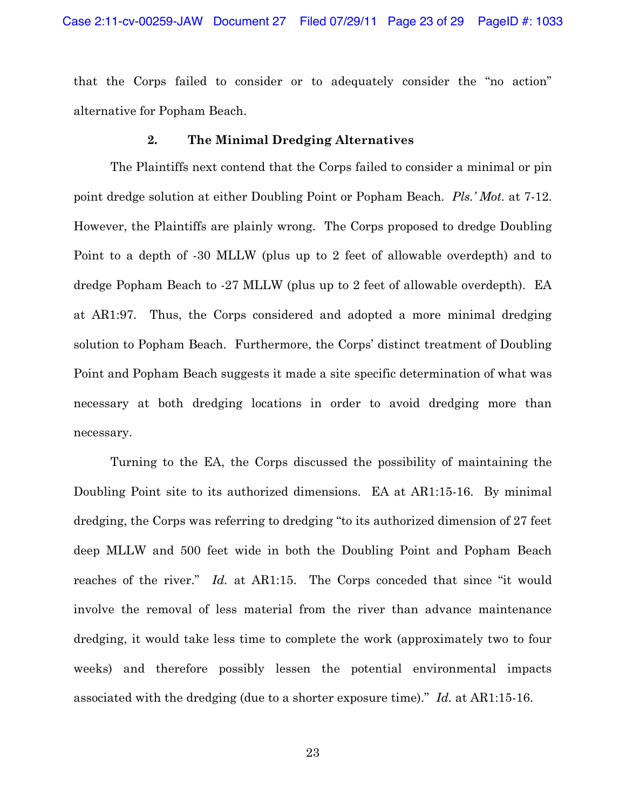that the Corps failed to consider or to adequately consider the "no action" alternative for Popham Beach.

### **2. The Minimal Dredging Alternatives**

The Plaintiffs next contend that the Corps failed to consider a minimal or pin point dredge solution at either Doubling Point or Popham Beach. *Pls.' Mot.* at 7-12. However, the Plaintiffs are plainly wrong. The Corps proposed to dredge Doubling Point to a depth of -30 MLLW (plus up to 2 feet of allowable overdepth) and to dredge Popham Beach to  $-27$  MLLW (plus up to 2 feet of allowable overdepth). EA at AR1:97. Thus, the Corps considered and adopted a more minimal dredging solution to Popham Beach. Furthermore, the Corps' distinct treatment of Doubling Point and Popham Beach suggests it made a site specific determination of what was necessary at both dredging locations in order to avoid dredging more than necessary.

Turning to the EA, the Corps discussed the possibility of maintaining the Doubling Point site to its authorized dimensions. EA at AR1:15-16. By minimal dredging, the Corps was referring to dredging "to its authorized dimension of 27 feet deep MLLW and 500 feet wide in both the Doubling Point and Popham Beach reaches of the river." *Id.* at AR1:15. The Corps conceded that since "it would involve the removal of less material from the river than advance maintenance dredging, it would take less time to complete the work (approximately two to four weeks) and therefore possibly lessen the potential environmental impacts associated with the dredging (due to a shorter exposure time)." *Id.* at AR1:15-16.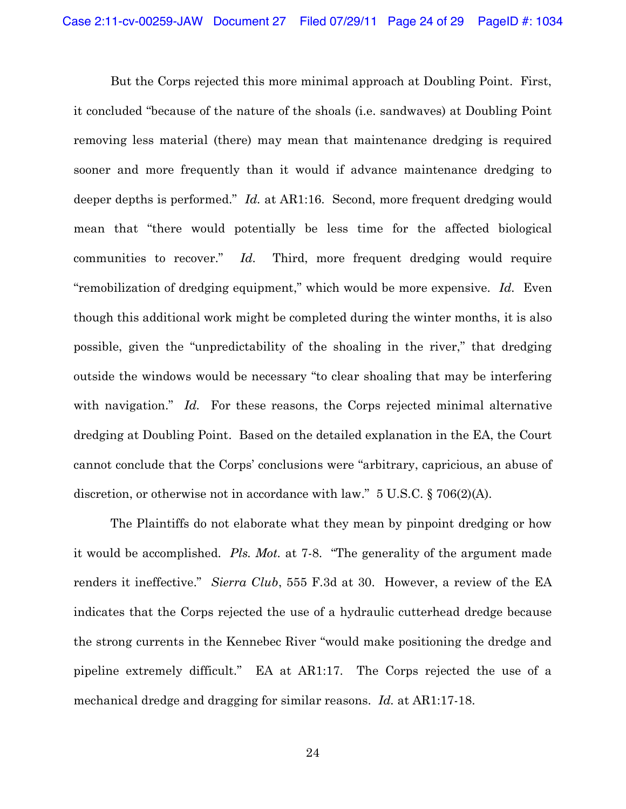But the Corps rejected this more minimal approach at Doubling Point. First, it concluded "because of the nature of the shoals (*i.e.* sandwaves) at Doubling Point removing less material (there) may mean that maintenance dredging is required sooner and more frequently than it would if advance maintenance dredging to deeper depths is performed." *Id.* at AR1:16. Second, more frequent dredging would mean that "there would potentially be less time for the affected biological communities to recover." *Id.* Third, more frequent dredging would require "remobilization of dredging equipment," which would be more expensive. Id. Even though this additional work might be completed during the winter months, it is also possible, given the "unpredictability of the shoaling in the river," that dredging outside the windows would be necessary "to clear shoaling that may be interfering with navigation." *Id.* For these reasons, the Corps rejected minimal alternative dredging at Doubling Point. Based on the detailed explanation in the EA, the Court cannot conclude that the Corps' conclusions were "arbitrary, capricious, an abuse of discretion, or otherwise not in accordance with law."  $5 \text{ U.S.C.}$   $\S 706(2)(\text{A})$ .

The Plaintiffs do not elaborate what they mean by pinpoint dredging or how it would be accomplished. *Pls. Mot.* at 7-8. "The generality of the argument made renders it ineffective." Sierra Club, 555 F.3d at 30. However, a review of the EA indicates that the Corps rejected the use of a hydraulic cutterhead dredge because the strong currents in the Kennebec River "would make positioning the dredge and pipeline extremely difficult." EA at AR1:17. The Corps rejected the use of a mechanical dredge and dragging for similar reasons. *Id.* at AR1:17-18.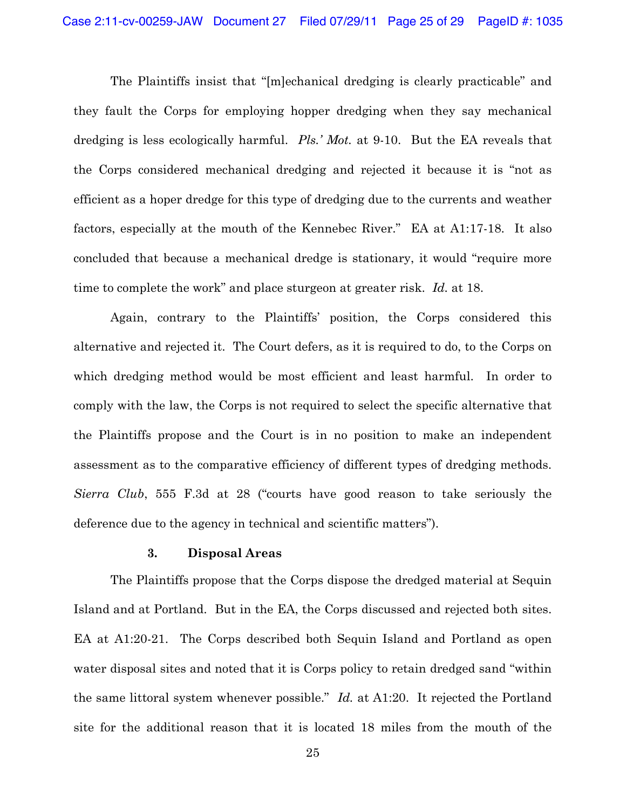The Plaintiffs insist that "[m]echanical dredging is clearly practicable" and they fault the Corps for employing hopper dredging when they say mechanical dredging is less ecologically harmful. *Pls.' Mot.* at 9-10. But the EA reveals that the Corps considered mechanical dredging and rejected it because it is "not as efficient as a hoper dredge for this type of dredging due to the currents and weather factors, especially at the mouth of the Kennebec River." EA at A1:17-18. It also concluded that because a mechanical dredge is stationary, it would "require more" time to complete the work" and place sturgeon at greater risk. Id. at 18.

Again, contrary to the Plaintiffs' position, the Corps considered this alternative and rejected it. The Court defers, as it is required to do, to the Corps on which dredging method would be most efficient and least harmful. In order to comply with the law, the Corps is not required to select the specific alternative that the Plaintiffs propose and the Court is in no position to make an independent assessment as to the comparative efficiency of different types of dredging methods. *Sierra Club*, 555 F.3d at 28 ("courts have good reason to take seriously the deference due to the agency in technical and scientific matters").

#### **3. Disposal Areas**

The Plaintiffs propose that the Corps dispose the dredged material at Sequin Island and at Portland. But in the EA, the Corps discussed and rejected both sites. EA at  $A1:20-21$ . The Corps described both Sequin Island and Portland as open water disposal sites and noted that it is Corps policy to retain dredged sand "within the same littoral system whenever possible." Id. at A1:20. It rejected the Portland site for the additional reason that it is located 18 miles from the mouth of the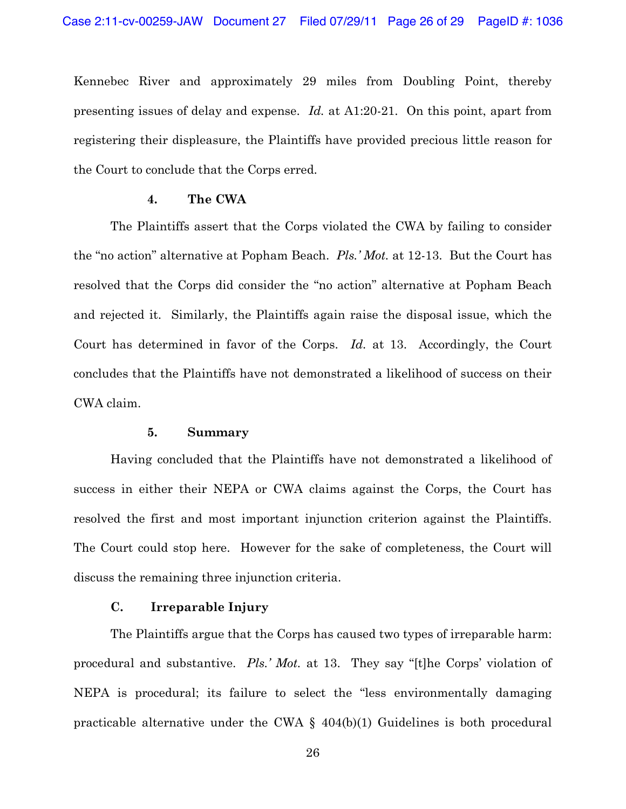Kennebec River and approximately 29 miles from Doubling Point, thereby presenting issues of delay and expense. *Id.* at A1:20-21. On this point, apart from registering their displeasure, the Plaintiffs have provided precious little reason for the Court to conclude that the Corps erred.

#### **4. The CWA**

The Plaintiffs assert that the Corps violated the CWA by failing to consider the "no action" alternative at Popham Beach. Pls.' Mot. at 12-13. But the Court has resolved that the Corps did consider the "no action" alternative at Popham Beach and rejected it. Similarly, the Plaintiffs again raise the disposal issue, which the Court has determined in favor of the Corps. *Id.* at 13. Accordingly, the Court concludes that the Plaintiffs have not demonstrated a likelihood of success on their CWA claim.

### **5. Summary**

Having concluded that the Plaintiffs have not demonstrated a likelihood of success in either their NEPA or CWA claims against the Corps, the Court has resolved the first and most important injunction criterion against the Plaintiffs. The Court could stop here. However for the sake of completeness, the Court will discuss the remaining three injunction criteria.

### **C. Irreparable Injury**

The Plaintiffs argue that the Corps has caused two types of irreparable harm: procedural and substantive. *Pls.' Mot.* at 13. They say "[t]he Corps' violation of NEPA is procedural; its failure to select the "less environmentally damaging practicable alternative under the CWA § 404(b)(1) Guidelines is both procedural

26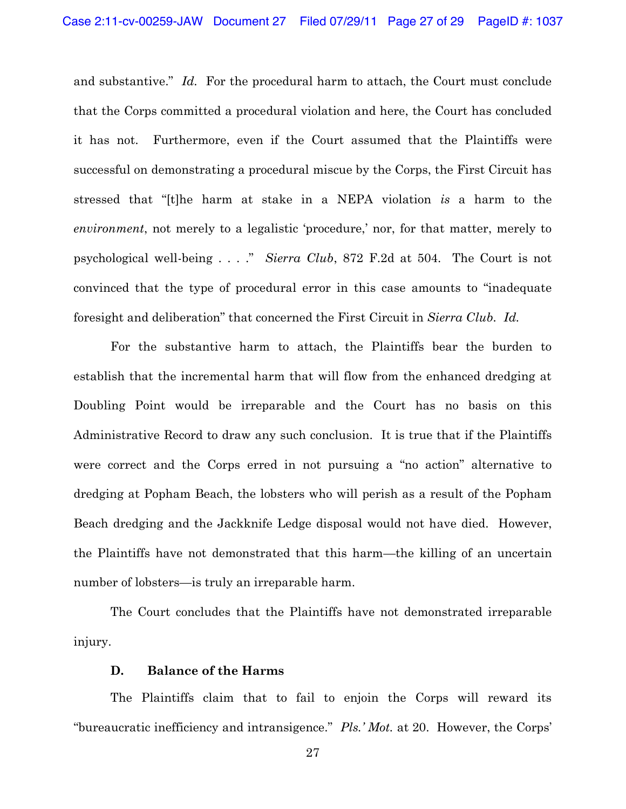and substantive." Id. For the procedural harm to attach, the Court must conclude that the Corps committed a procedural violation and here, the Court has concluded it has not. Furthermore, even if the Court assumed that the Plaintiffs were successful on demonstrating a procedural miscue by the Corps, the First Circuit has stressed that "[t]he harm at stake in a NEPA violation is a harm to the *environment*, not merely to a legalistic 'procedure,' nor, for that matter, merely to psychological well-being . . . ." Sierra Club, 872 F.2d at 504. The Court is not convinced that the type of procedural error in this case amounts to "inadequate foresight and deliberation" that concerned the First Circuit in Sierra Club. Id.

For the substantive harm to attach, the Plaintiffs bear the burden to establish that the incremental harm that will flow from the enhanced dredging at Doubling Point would be irreparable and the Court has no basis on this Administrative Record to draw any such conclusion. It is true that if the Plaintiffs were correct and the Corps erred in not pursuing a "no action" alternative to dredging at Popham Beach, the lobsters who will perish as a result of the Popham Beach dredging and the Jackknife Ledge disposal would not have died. However, the Plaintiffs have not demonstrated that this harm—the killing of an uncertain number of lobsters—is truly an irreparable harm.

The Court concludes that the Plaintiffs have not demonstrated irreparable injury.

### **D. Balance of the Harms**

The Plaintiffs claim that to fail to enjoin the Corps will reward its "bureaucratic inefficiency and intransigence." Pls.' Mot. at 20. However, the Corps'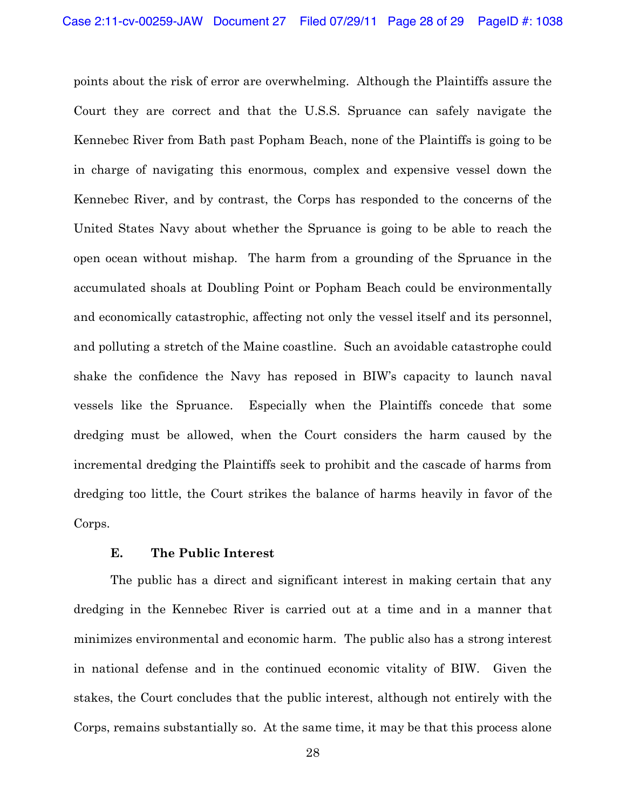points about the risk of error are overwhelming. Although the Plaintiffs assure the Court they are correct and that the U.S.S. Spruance can safely navigate the Kennebec River from Bath past Popham Beach, none of the Plaintiffs is going to be in charge of navigating this enormous, complex and expensive vessel down the Kennebec River, and by contrast, the Corps has responded to the concerns of the United States Navy about whether the Spruance is going to be able to reach the open ocean without mishap. The harm from a grounding of the Spruance in the accumulated shoals at Doubling Point or Popham Beach could be environmentally and economically catastrophic, affecting not only the vessel itself and its personnel, and polluting a stretch of the Maine coastline. Such an avoidable catastrophe could shake the confidence the Navy has reposed in BIW's capacity to launch naval vessels like the Spruance. Especially when the Plaintiffs concede that some dredging must be allowed, when the Court considers the harm caused by the incremental dredging the Plaintiffs seek to prohibit and the cascade of harms from dredging too little, the Court strikes the balance of harms heavily in favor of the Corps.

### **E. The Public Interest**

The public has a direct and significant interest in making certain that any dredging in the Kennebec River is carried out at a time and in a manner that minimizes environmental and economic harm. The public also has a strong interest in national defense and in the continued economic vitality of BIW. Given the stakes, the Court concludes that the public interest, although not entirely with the Corps, remains substantially so. At the same time, it may be that this process alone